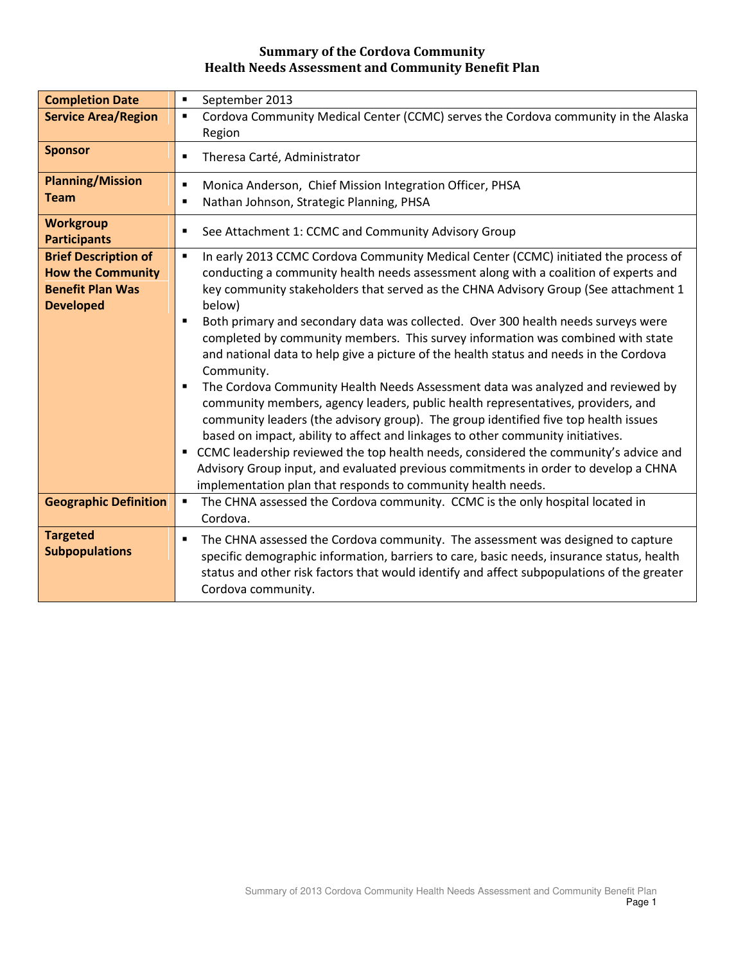| <b>Completion Date</b>                                                                                 | September 2013<br>$\blacksquare$                                                                                                                                                                                                                                                                                                                                                                                                                                                                                                                                                                                                                                                                                                                                                                                                                                                                                                                                                                                                                                                                                                                                                                 |
|--------------------------------------------------------------------------------------------------------|--------------------------------------------------------------------------------------------------------------------------------------------------------------------------------------------------------------------------------------------------------------------------------------------------------------------------------------------------------------------------------------------------------------------------------------------------------------------------------------------------------------------------------------------------------------------------------------------------------------------------------------------------------------------------------------------------------------------------------------------------------------------------------------------------------------------------------------------------------------------------------------------------------------------------------------------------------------------------------------------------------------------------------------------------------------------------------------------------------------------------------------------------------------------------------------------------|
| <b>Service Area/Region</b>                                                                             | Cordova Community Medical Center (CCMC) serves the Cordova community in the Alaska<br>$\blacksquare$<br>Region                                                                                                                                                                                                                                                                                                                                                                                                                                                                                                                                                                                                                                                                                                                                                                                                                                                                                                                                                                                                                                                                                   |
| <b>Sponsor</b>                                                                                         | Theresa Carté, Administrator<br>$\blacksquare$                                                                                                                                                                                                                                                                                                                                                                                                                                                                                                                                                                                                                                                                                                                                                                                                                                                                                                                                                                                                                                                                                                                                                   |
| <b>Planning/Mission</b><br><b>Team</b>                                                                 | Monica Anderson, Chief Mission Integration Officer, PHSA<br>$\blacksquare$<br>Nathan Johnson, Strategic Planning, PHSA<br>$\blacksquare$                                                                                                                                                                                                                                                                                                                                                                                                                                                                                                                                                                                                                                                                                                                                                                                                                                                                                                                                                                                                                                                         |
| <b>Workgroup</b><br><b>Participants</b>                                                                | See Attachment 1: CCMC and Community Advisory Group<br>п                                                                                                                                                                                                                                                                                                                                                                                                                                                                                                                                                                                                                                                                                                                                                                                                                                                                                                                                                                                                                                                                                                                                         |
| <b>Brief Description of</b><br><b>How the Community</b><br><b>Benefit Plan Was</b><br><b>Developed</b> | In early 2013 CCMC Cordova Community Medical Center (CCMC) initiated the process of<br>$\blacksquare$<br>conducting a community health needs assessment along with a coalition of experts and<br>key community stakeholders that served as the CHNA Advisory Group (See attachment 1<br>below)<br>Both primary and secondary data was collected. Over 300 health needs surveys were<br>$\blacksquare$<br>completed by community members. This survey information was combined with state<br>and national data to help give a picture of the health status and needs in the Cordova<br>Community.<br>The Cordova Community Health Needs Assessment data was analyzed and reviewed by<br>community members, agency leaders, public health representatives, providers, and<br>community leaders (the advisory group). The group identified five top health issues<br>based on impact, ability to affect and linkages to other community initiatives.<br>CCMC leadership reviewed the top health needs, considered the community's advice and<br>Advisory Group input, and evaluated previous commitments in order to develop a CHNA<br>implementation plan that responds to community health needs. |
| <b>Geographic Definition</b>                                                                           | The CHNA assessed the Cordova community. CCMC is the only hospital located in<br>$\blacksquare$<br>Cordova.                                                                                                                                                                                                                                                                                                                                                                                                                                                                                                                                                                                                                                                                                                                                                                                                                                                                                                                                                                                                                                                                                      |
| <b>Targeted</b><br><b>Subpopulations</b>                                                               | The CHNA assessed the Cordova community. The assessment was designed to capture<br>п<br>specific demographic information, barriers to care, basic needs, insurance status, health<br>status and other risk factors that would identify and affect subpopulations of the greater<br>Cordova community.                                                                                                                                                                                                                                                                                                                                                                                                                                                                                                                                                                                                                                                                                                                                                                                                                                                                                            |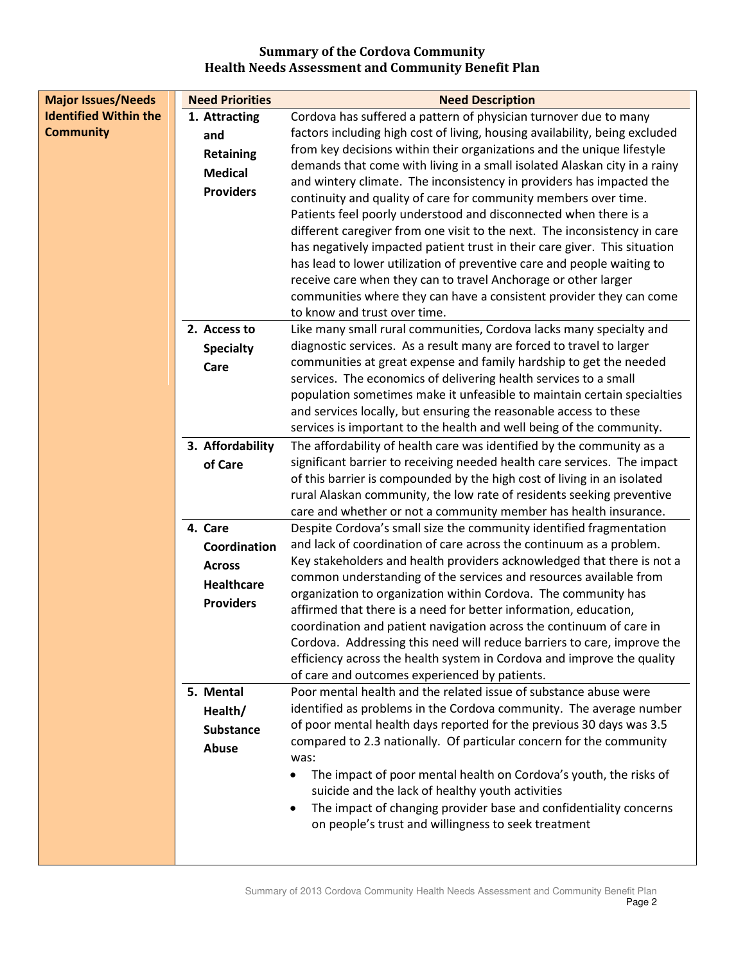| <b>Major Issues/Needs</b>    | <b>Need Priorities</b> | <b>Need Description</b>                                                                                                                  |
|------------------------------|------------------------|------------------------------------------------------------------------------------------------------------------------------------------|
| <b>Identified Within the</b> | 1. Attracting          | Cordova has suffered a pattern of physician turnover due to many                                                                         |
| <b>Community</b>             | and                    | factors including high cost of living, housing availability, being excluded                                                              |
|                              | <b>Retaining</b>       | from key decisions within their organizations and the unique lifestyle                                                                   |
|                              | <b>Medical</b>         | demands that come with living in a small isolated Alaskan city in a rainy                                                                |
|                              | <b>Providers</b>       | and wintery climate. The inconsistency in providers has impacted the                                                                     |
|                              |                        | continuity and quality of care for community members over time.                                                                          |
|                              |                        | Patients feel poorly understood and disconnected when there is a                                                                         |
|                              |                        | different caregiver from one visit to the next. The inconsistency in care                                                                |
|                              |                        | has negatively impacted patient trust in their care giver. This situation                                                                |
|                              |                        | has lead to lower utilization of preventive care and people waiting to<br>receive care when they can to travel Anchorage or other larger |
|                              |                        | communities where they can have a consistent provider they can come                                                                      |
|                              |                        | to know and trust over time.                                                                                                             |
|                              | 2. Access to           | Like many small rural communities, Cordova lacks many specialty and                                                                      |
|                              | <b>Specialty</b>       | diagnostic services. As a result many are forced to travel to larger                                                                     |
|                              | Care                   | communities at great expense and family hardship to get the needed                                                                       |
|                              |                        | services. The economics of delivering health services to a small                                                                         |
|                              |                        | population sometimes make it unfeasible to maintain certain specialties                                                                  |
|                              |                        | and services locally, but ensuring the reasonable access to these                                                                        |
|                              |                        | services is important to the health and well being of the community.                                                                     |
|                              | 3. Affordability       | The affordability of health care was identified by the community as a                                                                    |
|                              | of Care                | significant barrier to receiving needed health care services. The impact                                                                 |
|                              |                        | of this barrier is compounded by the high cost of living in an isolated                                                                  |
|                              |                        | rural Alaskan community, the low rate of residents seeking preventive                                                                    |
|                              |                        | care and whether or not a community member has health insurance.                                                                         |
|                              | 4. Care                | Despite Cordova's small size the community identified fragmentation                                                                      |
|                              | Coordination           | and lack of coordination of care across the continuum as a problem.                                                                      |
|                              | <b>Across</b>          | Key stakeholders and health providers acknowledged that there is not a                                                                   |
|                              | <b>Healthcare</b>      | common understanding of the services and resources available from<br>organization to organization within Cordova. The community has      |
|                              | <b>Providers</b>       | affirmed that there is a need for better information, education,                                                                         |
|                              |                        | coordination and patient navigation across the continuum of care in                                                                      |
|                              |                        | Cordova. Addressing this need will reduce barriers to care, improve the                                                                  |
|                              |                        | efficiency across the health system in Cordova and improve the quality                                                                   |
|                              |                        | of care and outcomes experienced by patients.                                                                                            |
|                              | 5. Mental              | Poor mental health and the related issue of substance abuse were                                                                         |
|                              | Health/                | identified as problems in the Cordova community. The average number                                                                      |
|                              | <b>Substance</b>       | of poor mental health days reported for the previous 30 days was 3.5                                                                     |
|                              | Abuse                  | compared to 2.3 nationally. Of particular concern for the community                                                                      |
|                              |                        | was:                                                                                                                                     |
|                              |                        | The impact of poor mental health on Cordova's youth, the risks of                                                                        |
|                              |                        | suicide and the lack of healthy youth activities                                                                                         |
|                              |                        | The impact of changing provider base and confidentiality concerns                                                                        |
|                              |                        | on people's trust and willingness to seek treatment                                                                                      |
|                              |                        |                                                                                                                                          |
|                              |                        |                                                                                                                                          |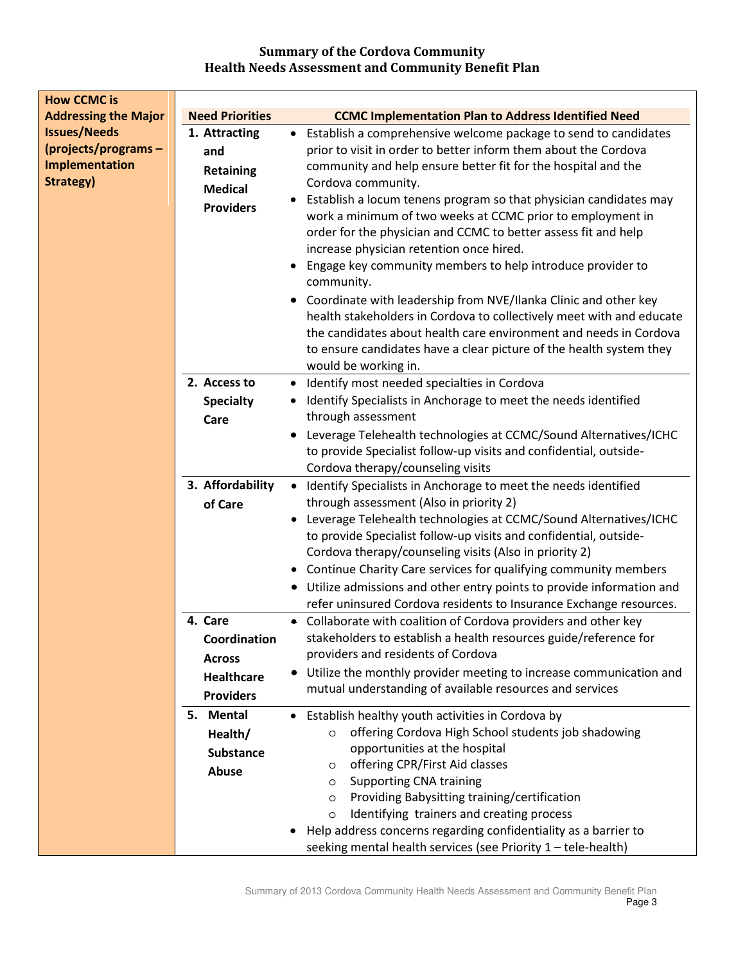| <b>How CCMC is</b>                                                        |                                                                                   |                                                                                                                                                                                                                                                                                                                                                                                                                                                                                                                                                                                                                                                                                                                                                                                                                                                              |
|---------------------------------------------------------------------------|-----------------------------------------------------------------------------------|--------------------------------------------------------------------------------------------------------------------------------------------------------------------------------------------------------------------------------------------------------------------------------------------------------------------------------------------------------------------------------------------------------------------------------------------------------------------------------------------------------------------------------------------------------------------------------------------------------------------------------------------------------------------------------------------------------------------------------------------------------------------------------------------------------------------------------------------------------------|
| <b>Addressing the Major</b>                                               | <b>Need Priorities</b>                                                            | <b>CCMC Implementation Plan to Address Identified Need</b>                                                                                                                                                                                                                                                                                                                                                                                                                                                                                                                                                                                                                                                                                                                                                                                                   |
| <b>Issues/Needs</b><br>(projects/programs-<br>Implementation<br>Strategy) | 1. Attracting<br>and<br><b>Retaining</b><br><b>Medical</b><br><b>Providers</b>    | • Establish a comprehensive welcome package to send to candidates<br>prior to visit in order to better inform them about the Cordova<br>community and help ensure better fit for the hospital and the<br>Cordova community.<br>Establish a locum tenens program so that physician candidates may<br>work a minimum of two weeks at CCMC prior to employment in<br>order for the physician and CCMC to better assess fit and help<br>increase physician retention once hired.<br>Engage key community members to help introduce provider to<br>community.<br>Coordinate with leadership from NVE/Ilanka Clinic and other key<br>$\bullet$<br>health stakeholders in Cordova to collectively meet with and educate<br>the candidates about health care environment and needs in Cordova<br>to ensure candidates have a clear picture of the health system they |
|                                                                           | 2. Access to<br><b>Specialty</b>                                                  | would be working in.<br>Identify most needed specialties in Cordova<br>$\bullet$<br>Identify Specialists in Anchorage to meet the needs identified<br>٠                                                                                                                                                                                                                                                                                                                                                                                                                                                                                                                                                                                                                                                                                                      |
|                                                                           | Care                                                                              | through assessment<br>Leverage Telehealth technologies at CCMC/Sound Alternatives/ICHC<br>to provide Specialist follow-up visits and confidential, outside-<br>Cordova therapy/counseling visits                                                                                                                                                                                                                                                                                                                                                                                                                                                                                                                                                                                                                                                             |
|                                                                           | 3. Affordability<br>of Care                                                       | Identify Specialists in Anchorage to meet the needs identified<br>$\bullet$<br>through assessment (Also in priority 2)<br>Leverage Telehealth technologies at CCMC/Sound Alternatives/ICHC<br>to provide Specialist follow-up visits and confidential, outside-<br>Cordova therapy/counseling visits (Also in priority 2)<br>• Continue Charity Care services for qualifying community members<br>• Utilize admissions and other entry points to provide information and<br>refer uninsured Cordova residents to Insurance Exchange resources.                                                                                                                                                                                                                                                                                                               |
|                                                                           | 4. Care<br>Coordination<br><b>Across</b><br><b>Healthcare</b><br><b>Providers</b> | • Collaborate with coalition of Cordova providers and other key<br>stakeholders to establish a health resources guide/reference for<br>providers and residents of Cordova<br>• Utilize the monthly provider meeting to increase communication and<br>mutual understanding of available resources and services                                                                                                                                                                                                                                                                                                                                                                                                                                                                                                                                                |
|                                                                           | 5. Mental<br>Health/<br><b>Substance</b><br>Abuse                                 | • Establish healthy youth activities in Cordova by<br>offering Cordova High School students job shadowing<br>$\circ$<br>opportunities at the hospital<br>offering CPR/First Aid classes<br>$\circ$<br><b>Supporting CNA training</b><br>$\circ$<br>Providing Babysitting training/certification<br>$\circ$<br>Identifying trainers and creating process<br>$\circ$<br>Help address concerns regarding confidentiality as a barrier to<br>seeking mental health services (see Priority 1 - tele-health)                                                                                                                                                                                                                                                                                                                                                       |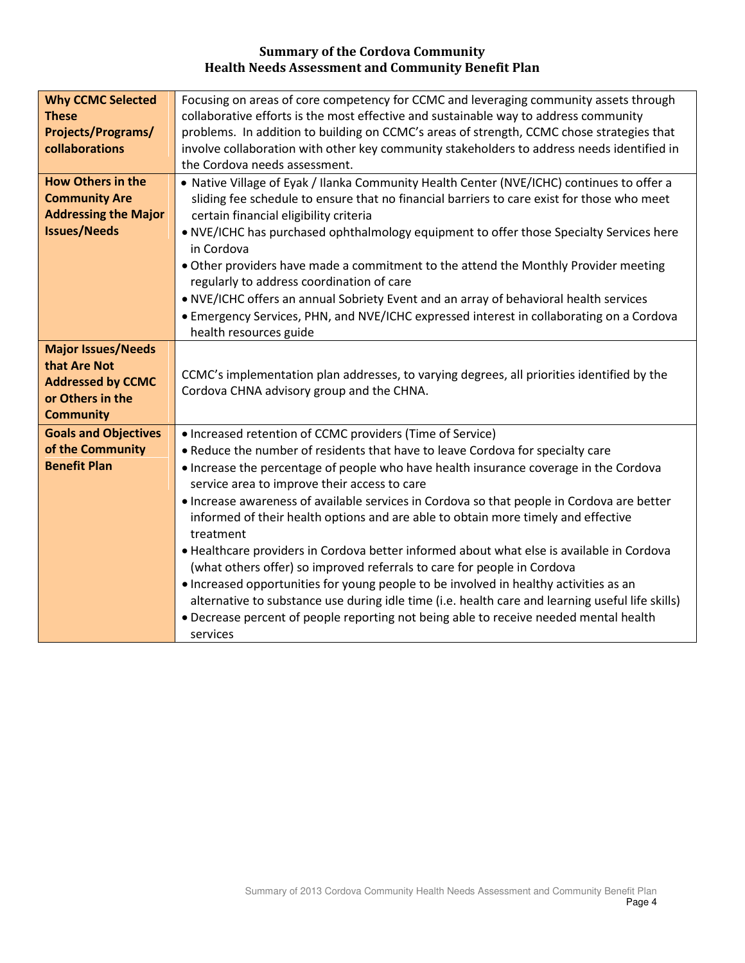| <b>Why CCMC Selected</b><br><b>These</b><br><b>Projects/Programs/</b><br>collaborations                       | Focusing on areas of core competency for CCMC and leveraging community assets through<br>collaborative efforts is the most effective and sustainable way to address community<br>problems. In addition to building on CCMC's areas of strength, CCMC chose strategies that<br>involve collaboration with other key community stakeholders to address needs identified in                                                                                                                                                                                                                                                                                                                                                                                                                                                                                                                                                                                       |
|---------------------------------------------------------------------------------------------------------------|----------------------------------------------------------------------------------------------------------------------------------------------------------------------------------------------------------------------------------------------------------------------------------------------------------------------------------------------------------------------------------------------------------------------------------------------------------------------------------------------------------------------------------------------------------------------------------------------------------------------------------------------------------------------------------------------------------------------------------------------------------------------------------------------------------------------------------------------------------------------------------------------------------------------------------------------------------------|
|                                                                                                               | the Cordova needs assessment.                                                                                                                                                                                                                                                                                                                                                                                                                                                                                                                                                                                                                                                                                                                                                                                                                                                                                                                                  |
| <b>How Others in the</b><br><b>Community Are</b><br><b>Addressing the Major</b><br><b>Issues/Needs</b>        | . Native Village of Eyak / Ilanka Community Health Center (NVE/ICHC) continues to offer a<br>sliding fee schedule to ensure that no financial barriers to care exist for those who meet<br>certain financial eligibility criteria<br>. NVE/ICHC has purchased ophthalmology equipment to offer those Specialty Services here<br>in Cordova<br>. Other providers have made a commitment to the attend the Monthly Provider meeting<br>regularly to address coordination of care<br>. NVE/ICHC offers an annual Sobriety Event and an array of behavioral health services<br>• Emergency Services, PHN, and NVE/ICHC expressed interest in collaborating on a Cordova                                                                                                                                                                                                                                                                                            |
| <b>Major Issues/Needs</b><br>that Are Not<br><b>Addressed by CCMC</b><br>or Others in the<br><b>Community</b> | health resources guide<br>CCMC's implementation plan addresses, to varying degrees, all priorities identified by the<br>Cordova CHNA advisory group and the CHNA.                                                                                                                                                                                                                                                                                                                                                                                                                                                                                                                                                                                                                                                                                                                                                                                              |
| <b>Goals and Objectives</b><br>of the Community<br><b>Benefit Plan</b>                                        | • Increased retention of CCMC providers (Time of Service)<br>. Reduce the number of residents that have to leave Cordova for specialty care<br>• Increase the percentage of people who have health insurance coverage in the Cordova<br>service area to improve their access to care<br>. Increase awareness of available services in Cordova so that people in Cordova are better<br>informed of their health options and are able to obtain more timely and effective<br>treatment<br>. Healthcare providers in Cordova better informed about what else is available in Cordova<br>(what others offer) so improved referrals to care for people in Cordova<br>• Increased opportunities for young people to be involved in healthy activities as an<br>alternative to substance use during idle time (i.e. health care and learning useful life skills)<br>• Decrease percent of people reporting not being able to receive needed mental health<br>services |